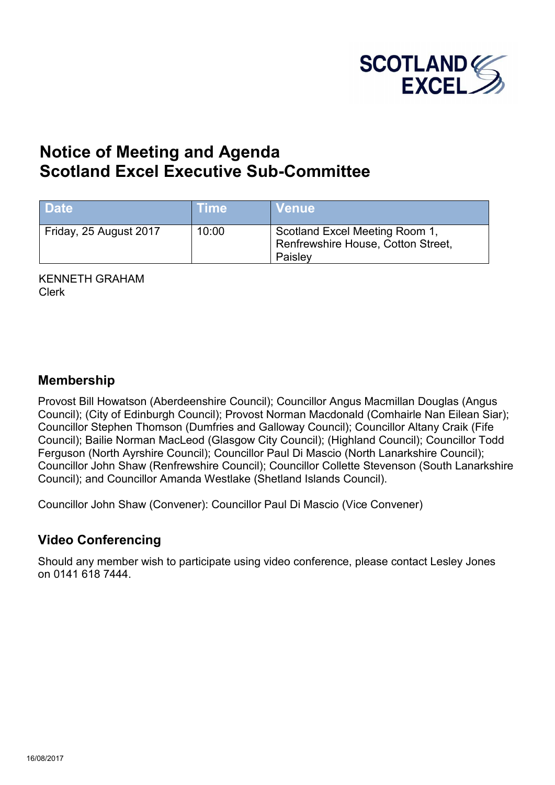

# **Notice of Meeting and Agenda Scotland Excel Executive Sub-Committee**

| <b>Date</b>            | <b>Time</b> | <b>Venue</b>                                                                    |
|------------------------|-------------|---------------------------------------------------------------------------------|
| Friday, 25 August 2017 | 10:00       | Scotland Excel Meeting Room 1,<br>Renfrewshire House, Cotton Street,<br>Paisley |

KENNETH GRAHAM Clerk

## **Membership**

Provost Bill Howatson (Aberdeenshire Council); Councillor Angus Macmillan Douglas (Angus Council); (City of Edinburgh Council); Provost Norman Macdonald (Comhairle Nan Eilean Siar); Councillor Stephen Thomson (Dumfries and Galloway Council); Councillor Altany Craik (Fife Council); Bailie Norman MacLeod (Glasgow City Council); (Highland Council); Councillor Todd Ferguson (North Ayrshire Council); Councillor Paul Di Mascio (North Lanarkshire Council); Councillor John Shaw (Renfrewshire Council); Councillor Collette Stevenson (South Lanarkshire Council); and Councillor Amanda Westlake (Shetland Islands Council).

Councillor John Shaw (Convener): Councillor Paul Di Mascio (Vice Convener)

# **Video Conferencing**

Should any member wish to participate using video conference, please contact Lesley Jones on 0141 618 7444.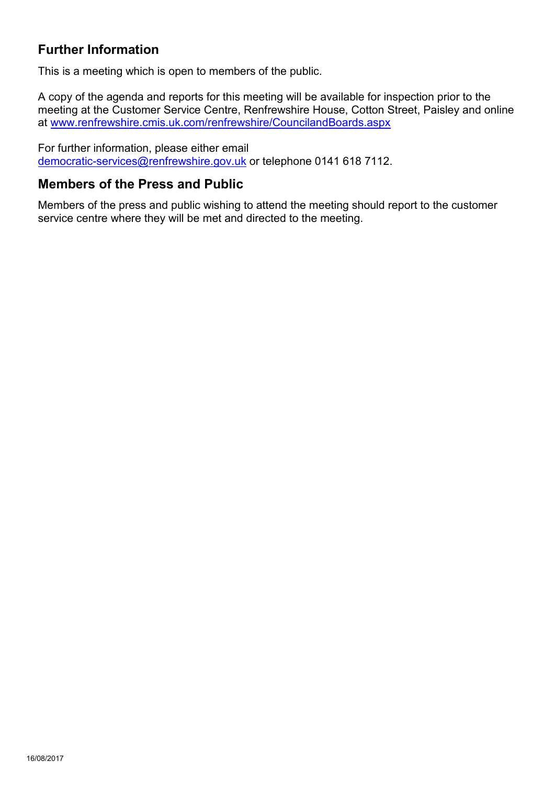# **Further Information**

This is a meeting which is open to members of the public.

A copy of the agenda and reports for this meeting will be available for inspection prior to the meeting at the Customer Service Centre, Renfrewshire House, Cotton Street, Paisley and online at [www.renfrewshire.cmis.uk.com/renfrewshire/CouncilandBoards.aspx](http://www.renfrewshire.cmis.uk.com/renfrewshire/CouncilandBoards.aspx)

For further information, please either email [democratic-services@renfrewshire.gov.uk](mailto:democratic-services@renfrewshire.gov.uk) or telephone 0141 618 7112.

## **Members of the Press and Public**

Members of the press and public wishing to attend the meeting should report to the customer service centre where they will be met and directed to the meeting.